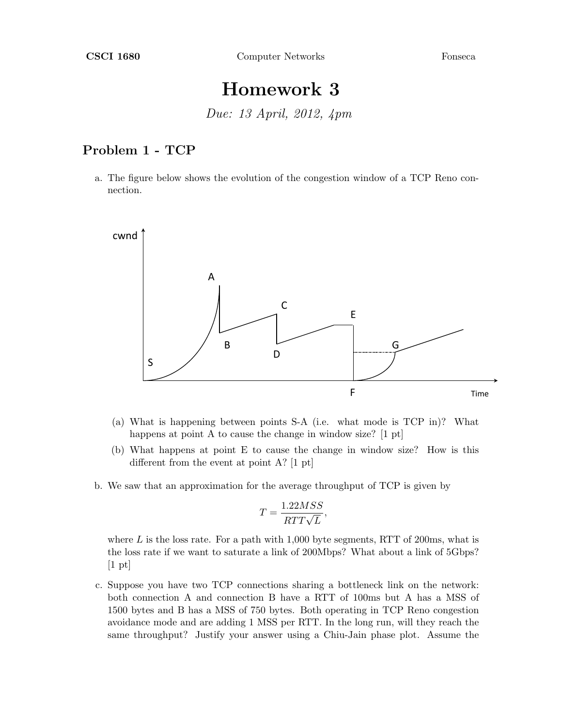## Homework 3

Due: 13 April, 2012, 4pm

## Problem 1 - TCP

a. The figure below shows the evolution of the congestion window of a TCP Reno connection.



- (a) What is happening between points S-A (i.e. what mode is TCP in)? What happens at point A to cause the change in window size? [1 pt]
- (b) What happens at point E to cause the change in window size? How is this different from the event at point A? [1 pt]
- b. We saw that an approximation for the average throughput of TCP is given by

$$
T = \frac{1.22MSS}{RTT\sqrt{L}},
$$

where  $L$  is the loss rate. For a path with 1,000 byte segments, RTT of 200ms, what is the loss rate if we want to saturate a link of 200Mbps? What about a link of 5Gbps?  $[1 \text{ pt}]$ 

c. Suppose you have two TCP connections sharing a bottleneck link on the network: both connection A and connection B have a RTT of 100ms but A has a MSS of 1500 bytes and B has a MSS of 750 bytes. Both operating in TCP Reno congestion avoidance mode and are adding 1 MSS per RTT. In the long run, will they reach the same throughput? Justify your answer using a Chiu-Jain phase plot. Assume the